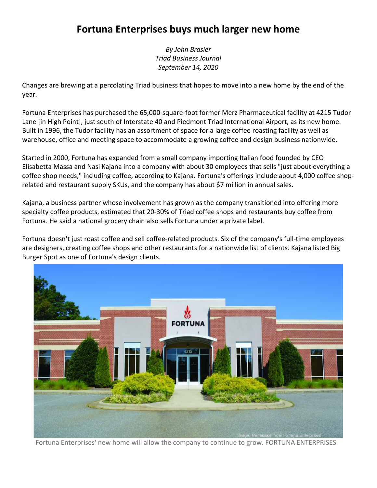## **Fortuna Enterprises buys much larger new home**

*By John Brasier Triad Business Journal September 14, 2020*

Changes are brewing at a percolating Triad business that hopes to move into a new home by the end of the year.

Fortuna Enterprises has purchased the 65,000-square-foot former Merz Pharmaceutical facility at 4215 Tudor Lane [in High Point], just south of Interstate 40 and Piedmont Triad International Airport, as its new home. Built in 1996, the Tudor facility has an assortment of space for a large coffee roasting facility as well as warehouse, office and meeting space to accommodate a growing coffee and design business nationwide.

Started in 2000, Fortuna has expanded from a small company importing Italian food founded by CEO Elisabetta Massa and Nasi Kajana into a company with about 30 employees that sells "just about everything a coffee shop needs," including coffee, according to Kajana. Fortuna's offerings include about 4,000 coffee shoprelated and restaurant supply SKUs, and the company has about \$7 million in annual sales.

Kajana, a business partner whose involvement has grown as the company transitioned into offering more specialty coffee products, estimated that 20-30% of Triad coffee shops and restaurants buy coffee from Fortuna. He said a national grocery chain also sells Fortuna under a private label.

Fortuna doesn't just roast coffee and sell coffee-related products. Six of the company's full-time employees are designers, creating coffee shops and other restaurants for a nationwide list of clients. Kajana listed Big Burger Spot as one of Fortuna's design clients.



Fortuna Enterprises' new home will allow the company to continue to grow. FORTUNA ENTERPRISES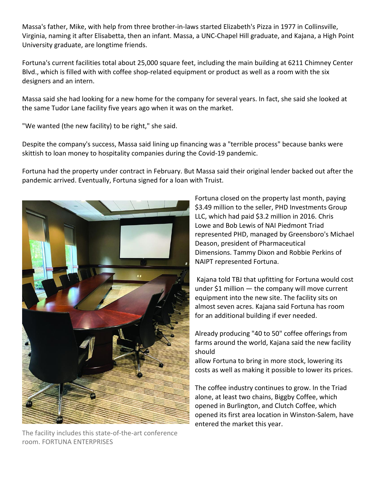Massa's father, Mike, with help from three brother-in-laws started Elizabeth's Pizza in 1977 in Collinsville, Virginia, naming it after Elisabetta, then an infant. Massa, a UNC-Chapel Hill graduate, and Kajana, a High Point University graduate, are longtime friends.

Fortuna's current facilities total about 25,000 square feet, including the main building at 6211 Chimney Center Blvd., which is filled with with coffee shop-related equipment or product as well as a room with the six designers and an intern.

Massa said she had looking for a new home for the company for several years. In fact, she said she looked at the same Tudor Lane facility five years ago when it was on the market.

"We wanted (the new facility) to be right," she said.

Despite the company's success, Massa said lining up financing was a "terrible process" because banks were skittish to loan money to hospitality companies during the Covid-19 pandemic.

Fortuna had the property under contract in February. But Massa said their original lender backed out after the pandemic arrived. Eventually, Fortuna signed for a loan with Truist.



The facility includes this state-of-the-art conference room. FORTUNA ENTERPRISES

Fortuna closed on the property last month, paying \$3.49 million to the seller, PHD Investments Group LLC, which had paid \$3.2 million in 2016. Chris Lowe and Bob Lewis of NAI Piedmont Triad represented PHD, managed by Greensboro's Michael Deason, president of Pharmaceutical Dimensions. Tammy Dixon and Robbie Perkins of NAIPT represented Fortuna.

Kajana told TBJ that upfitting for Fortuna would cost under  $$1$  million  $-$  the company will move current equipment into the new site. The facility sits on almost seven acres. Kajana said Fortuna has room for an additional building if ever needed.

Already producing "40 to 50" coffee offerings from farms around the world, Kajana said the new facility should

allow Fortuna to bring in more stock, lowering its costs as well as making it possible to lower its prices.

The coffee industry continues to grow. In the Triad alone, at least two chains, Biggby Coffee, which opened in Burlington, and Clutch Coffee, which opened its first area location in Winston-Salem, have entered the market this year.